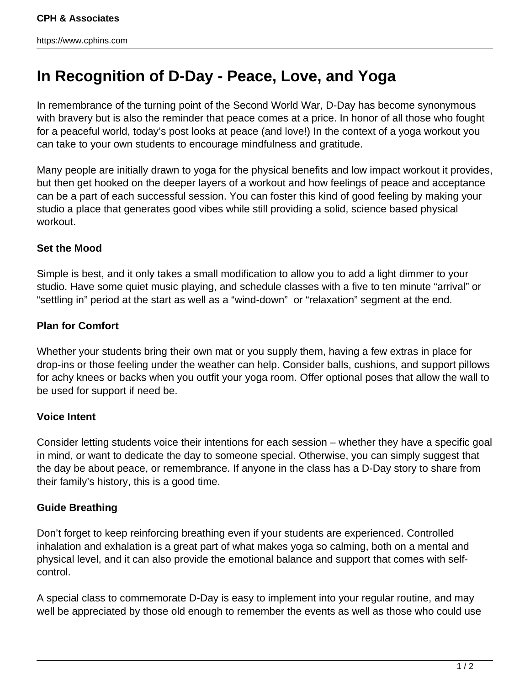# **In Recognition of D-Day - Peace, Love, and Yoga**

In remembrance of the turning point of the Second World War, D-Day has become synonymous with bravery but is also the reminder that peace comes at a price. In honor of all those who fought for a peaceful world, today's post looks at peace (and love!) In the context of a yoga workout you can take to your own students to encourage mindfulness and gratitude.

Many people are initially drawn to yoga for the physical benefits and low impact workout it provides, but then get hooked on the deeper layers of a workout and how feelings of peace and acceptance can be a part of each successful session. You can foster this kind of good feeling by making your studio a place that generates good vibes while still providing a solid, science based physical workout.

# **Set the Mood**

Simple is best, and it only takes a small modification to allow you to add a light dimmer to your studio. Have some quiet music playing, and schedule classes with a five to ten minute "arrival" or "settling in" period at the start as well as a "wind-down" or "relaxation" segment at the end.

# **Plan for Comfort**

Whether your students bring their own mat or you supply them, having a few extras in place for drop-ins or those feeling under the weather can help. Consider balls, cushions, and support pillows for achy knees or backs when you outfit your yoga room. Offer optional poses that allow the wall to be used for support if need be.

### **Voice Intent**

Consider letting students voice their intentions for each session – whether they have a specific goal in mind, or want to dedicate the day to someone special. Otherwise, you can simply suggest that the day be about peace, or remembrance. If anyone in the class has a D-Day story to share from their family's history, this is a good time.

### **Guide Breathing**

Don't forget to keep reinforcing breathing even if your students are experienced. Controlled inhalation and exhalation is a great part of what makes yoga so calming, both on a mental and physical level, and it can also provide the emotional balance and support that comes with selfcontrol.

A special class to commemorate D-Day is easy to implement into your regular routine, and may well be appreciated by those old enough to remember the events as well as those who could use